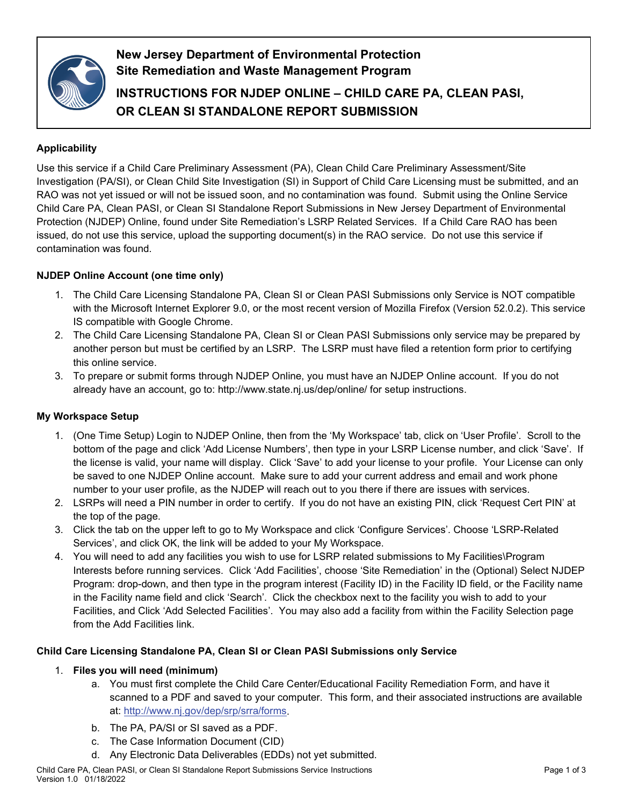

**New Jersey Department of Environmental Protection Site Remediation and Waste Management Program**

**INSTRUCTIONS FOR NJDEP ONLINE – CHILD CARE PA, CLEAN PASI, OR CLEAN SI STANDALONE REPORT SUBMISSION**

# **Applicability**

Use this service if a Child Care Preliminary Assessment (PA), Clean Child Care Preliminary Assessment/Site Investigation (PA/SI), or Clean Child Site Investigation (SI) in Support of Child Care Licensing must be submitted, and an RAO was not yet issued or will not be issued soon, and no contamination was found. Submit using the Online Service Child Care PA, Clean PASI, or Clean SI Standalone Report Submissions in New Jersey Department of Environmental Protection (NJDEP) Online, found under Site Remediation's LSRP Related Services. If a Child Care RAO has been issued, do not use this service, upload the supporting document(s) in the RAO service. Do not use this service if contamination was found.

## **NJDEP Online Account (one time only)**

- 1. The Child Care Licensing Standalone PA, Clean SI or Clean PASI Submissions only Service is NOT compatible with the Microsoft Internet Explorer 9.0, or the most recent version of Mozilla Firefox (Version 52.0.2). This service IS compatible with Google Chrome.
- 2. The Child Care Licensing Standalone PA, Clean SI or Clean PASI Submissions only service may be prepared by another person but must be certified by an LSRP. The LSRP must have filed a retention form prior to certifying this online service.
- 3. To prepare or submit forms through NJDEP Online, you must have an NJDEP Online account. If you do not already have an account, go to: http://www.state.nj.us/dep/online/ for setup instructions.

### **My Workspace Setup**

- 1. (One Time Setup) Login to NJDEP Online, then from the 'My Workspace' tab, click on 'User Profile'. Scroll to the bottom of the page and click 'Add License Numbers', then type in your LSRP License number, and click 'Save'. If the license is valid, your name will display. Click 'Save' to add your license to your profile. Your License can only be saved to one NJDEP Online account. Make sure to add your current address and email and work phone number to your user profile, as the NJDEP will reach out to you there if there are issues with services.
- 2. LSRPs will need a PIN number in order to certify. If you do not have an existing PIN, click 'Request Cert PIN' at the top of the page.
- 3. Click the tab on the upper left to go to My Workspace and click 'Configure Services'. Choose 'LSRP-Related Services', and click OK, the link will be added to your My Workspace.
- 4. You will need to add any facilities you wish to use for LSRP related submissions to My Facilities\Program Interests before running services. Click 'Add Facilities', choose 'Site Remediation' in the (Optional) Select NJDEP Program: drop-down, and then type in the program interest (Facility ID) in the Facility ID field, or the Facility name in the Facility name field and click 'Search'. Click the checkbox next to the facility you wish to add to your Facilities, and Click 'Add Selected Facilities'. You may also add a facility from within the Facility Selection page from the Add Facilities link.

### **Child Care Licensing Standalone PA, Clean SI or Clean PASI Submissions only Service**

### 1. **Files you will need (minimum)**

- a. You must first complete the Child Care Center/Educational Facility Remediation Form, and have it scanned to a PDF and saved to your computer. This form, and their associated instructions are available at: [http://www.nj.gov/dep/srp/srra/forms.](http://www.nj.gov/dep/srp/srra/forms)
- b. The PA, PA/SI or SI saved as a PDF.
- c. The Case Information Document (CID)
- d. Any Electronic Data Deliverables (EDDs) not yet submitted.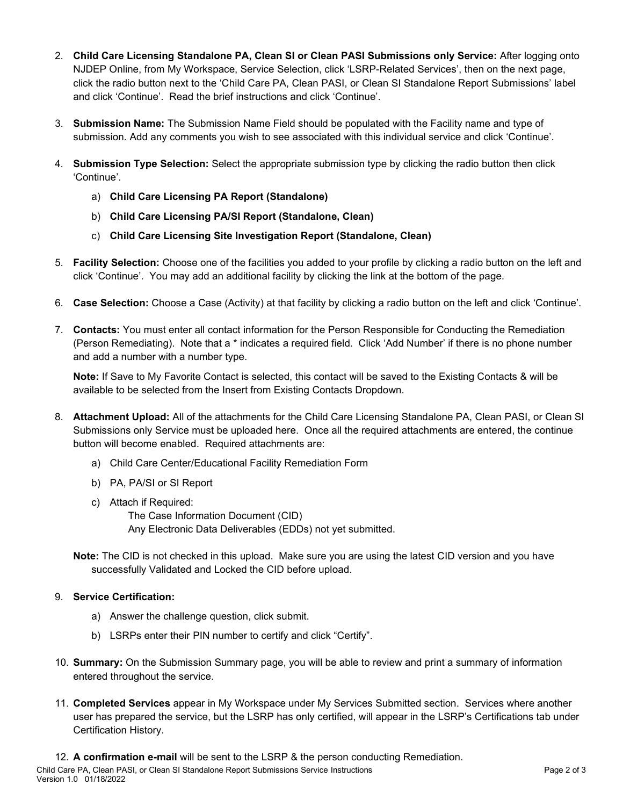- 2. **Child Care Licensing Standalone PA, Clean SI or Clean PASI Submissions only Service:** After logging onto NJDEP Online, from My Workspace, Service Selection, click 'LSRP-Related Services', then on the next page, click the radio button next to the 'Child Care PA, Clean PASI, or Clean SI Standalone Report Submissions' label and click 'Continue'. Read the brief instructions and click 'Continue'.
- 3. **Submission Name:** The Submission Name Field should be populated with the Facility name and type of submission. Add any comments you wish to see associated with this individual service and click 'Continue'.
- 4. **Submission Type Selection:** Select the appropriate submission type by clicking the radio button then click 'Continue'.
	- a) **Child Care Licensing PA Report (Standalone)**
	- b) **Child Care Licensing PA/SI Report (Standalone, Clean)**
	- c) **Child Care Licensing Site Investigation Report (Standalone, Clean)**
- 5. **Facility Selection:** Choose one of the facilities you added to your profile by clicking a radio button on the left and click 'Continue'. You may add an additional facility by clicking the link at the bottom of the page.
- 6. **Case Selection:** Choose a Case (Activity) at that facility by clicking a radio button on the left and click 'Continue'.
- 7. **Contacts:** You must enter all contact information for the Person Responsible for Conducting the Remediation (Person Remediating). Note that a \* indicates a required field. Click 'Add Number' if there is no phone number and add a number with a number type.

**Note:** If Save to My Favorite Contact is selected, this contact will be saved to the Existing Contacts & will be available to be selected from the Insert from Existing Contacts Dropdown.

- 8. **Attachment Upload:** All of the attachments for the Child Care Licensing Standalone PA, Clean PASI, or Clean SI Submissions only Service must be uploaded here. Once all the required attachments are entered, the continue button will become enabled. Required attachments are:
	- a) Child Care Center/Educational Facility Remediation Form
	- b) PA, PA/SI or SI Report
	- c) Attach if Required:

The Case Information Document (CID) Any Electronic Data Deliverables (EDDs) not yet submitted.

**Note:** The CID is not checked in this upload. Make sure you are using the latest CID version and you have successfully Validated and Locked the CID before upload.

### 9. **Service Certification:**

- a) Answer the challenge question, click submit.
- b) LSRPs enter their PIN number to certify and click "Certify".
- 10. **Summary:** On the Submission Summary page, you will be able to review and print a summary of information entered throughout the service.
- 11. **Completed Services** appear in My Workspace under My Services Submitted section. Services where another user has prepared the service, but the LSRP has only certified, will appear in the LSRP's Certifications tab under Certification History.

Child Care PA, Clean PASI, or Clean SI Standalone Report Submissions Service Instructions **Page 2 of 3** Page 2 of 3 Version 1.0 01/18/2022 12. **A confirmation e-mail** will be sent to the LSRP & the person conducting Remediation.